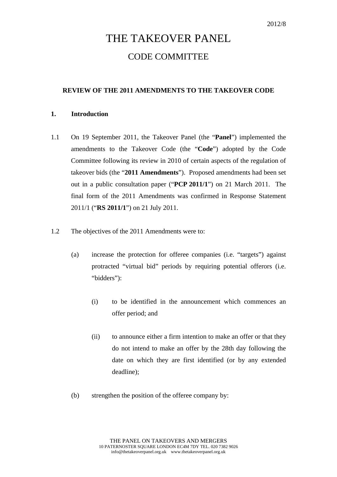# THE TAKEOVER PANEL CODE COMMITTEE

# **REVIEW OF THE 2011 AMENDMENTS TO THE TAKEOVER CODE**

### **1. Introduction**

- 1.1 On 19 September 2011, the Takeover Panel (the "**Panel**") implemented the amendments to the Takeover Code (the "**Code**") adopted by the Code Committee following its review in 2010 of certain aspects of the regulation of takeover bids (the "**2011 Amendments**"). Proposed amendments had been set out in a public consultation paper ("**PCP 2011/1**") on 21 March 2011. The final form of the 2011 Amendments was confirmed in Response Statement 2011/1 ("**RS 2011/1**") on 21 July 2011.
- 1.2 The objectives of the 2011 Amendments were to:
	- (a) increase the protection for offeree companies (i.e. "targets") against protracted "virtual bid" periods by requiring potential offerors (i.e. "bidders"):
		- (i) to be identified in the announcement which commences an offer period; and
		- (ii) to announce either a firm intention to make an offer or that they do not intend to make an offer by the 28th day following the date on which they are first identified (or by any extended deadline);
	- (b) strengthen the position of the offeree company by: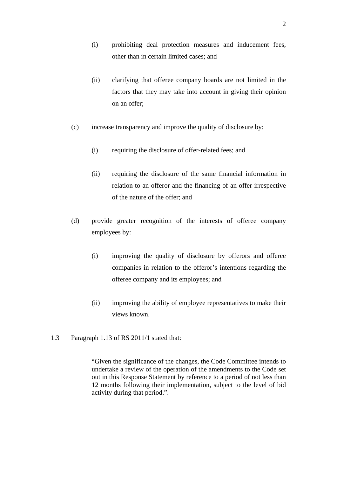- (i) prohibiting deal protection measures and inducement fees, other than in certain limited cases; and
- (ii) clarifying that offeree company boards are not limited in the factors that they may take into account in giving their opinion on an offer;
- (c) increase transparency and improve the quality of disclosure by:
	- (i) requiring the disclosure of offer-related fees; and
	- (ii) requiring the disclosure of the same financial information in relation to an offeror and the financing of an offer irrespective of the nature of the offer; and
- (d) provide greater recognition of the interests of offeree company employees by:
	- (i) improving the quality of disclosure by offerors and offeree companies in relation to the offeror's intentions regarding the offeree company and its employees; and
	- (ii) improving the ability of employee representatives to make their views known.
- 1.3 Paragraph 1.13 of RS 2011/1 stated that:

"Given the significance of the changes, the Code Committee intends to undertake a review of the operation of the amendments to the Code set out in this Response Statement by reference to a period of not less than 12 months following their implementation, subject to the level of bid activity during that period.".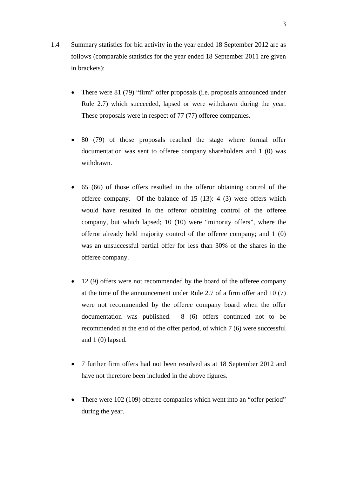- 1.4 Summary statistics for bid activity in the year ended 18 September 2012 are as follows (comparable statistics for the year ended 18 September 2011 are given in brackets):
	- There were 81 (79) "firm" offer proposals (i.e. proposals announced under Rule 2.7) which succeeded, lapsed or were withdrawn during the year. These proposals were in respect of 77 (77) offeree companies.
	- 80 (79) of those proposals reached the stage where formal offer documentation was sent to offeree company shareholders and 1 (0) was withdrawn.
	- 65 (66) of those offers resulted in the offeror obtaining control of the offeree company. Of the balance of 15 (13): 4 (3) were offers which would have resulted in the offeror obtaining control of the offeree company, but which lapsed; 10 (10) were "minority offers", where the offeror already held majority control of the offeree company; and 1 (0) was an unsuccessful partial offer for less than 30% of the shares in the offeree company.
	- 12 (9) offers were not recommended by the board of the offeree company at the time of the announcement under Rule 2.7 of a firm offer and 10 (7) were not recommended by the offeree company board when the offer documentation was published. 8 (6) offers continued not to be recommended at the end of the offer period, of which 7 (6) were successful and 1 (0) lapsed.
	- 7 further firm offers had not been resolved as at 18 September 2012 and have not therefore been included in the above figures.
	- There were 102 (109) offeree companies which went into an "offer period" during the year.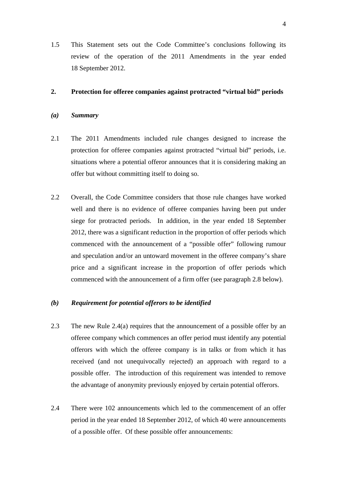1.5 This Statement sets out the Code Committee's conclusions following its review of the operation of the 2011 Amendments in the year ended 18 September 2012.

#### **2. Protection for offeree companies against protracted "virtual bid" periods**

#### *(a) Summary*

- 2.1 The 2011 Amendments included rule changes designed to increase the protection for offeree companies against protracted "virtual bid" periods, i.e. situations where a potential offeror announces that it is considering making an offer but without committing itself to doing so.
- 2.2 Overall, the Code Committee considers that those rule changes have worked well and there is no evidence of offeree companies having been put under siege for protracted periods. In addition, in the year ended 18 September 2012, there was a significant reduction in the proportion of offer periods which commenced with the announcement of a "possible offer" following rumour and speculation and/or an untoward movement in the offeree company's share price and a significant increase in the proportion of offer periods which commenced with the announcement of a firm offer (see paragraph 2.8 below).

# *(b) Requirement for potential offerors to be identified*

- 2.3 The new Rule 2.4(a) requires that the announcement of a possible offer by an offeree company which commences an offer period must identify any potential offerors with which the offeree company is in talks or from which it has received (and not unequivocally rejected) an approach with regard to a possible offer. The introduction of this requirement was intended to remove the advantage of anonymity previously enjoyed by certain potential offerors.
- 2.4 There were 102 announcements which led to the commencement of an offer period in the year ended 18 September 2012, of which 40 were announcements of a possible offer. Of these possible offer announcements: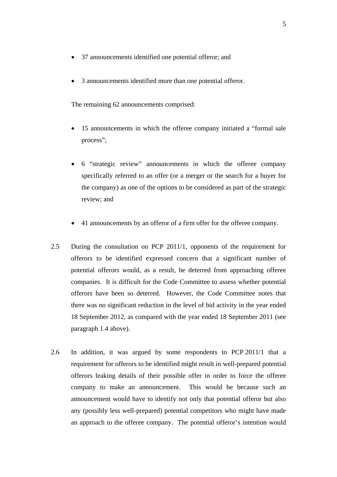- 37 announcements identified one potential offeror; and
- 3 announcements identified more than one potential offeror.

The remaining 62 announcements comprised:

- 15 announcements in which the offeree company initiated a "formal sale process";
- 6 "strategic review" announcements in which the offeree company specifically referred to an offer (or a merger or the search for a buyer for the company) as one of the options to be considered as part of the strategic review; and
- 41 announcements by an offeror of a firm offer for the offeree company.
- 2.5 During the consultation on PCP 2011/1, opponents of the requirement for offerors to be identified expressed concern that a significant number of potential offerors would, as a result, be deterred from approaching offeree companies. It is difficult for the Code Committee to assess whether potential offerors have been so deterred. However, the Code Committee notes that there was no significant reduction in the level of bid activity in the year ended 18 September 2012, as compared with the year ended 18 September 2011 (see paragraph 1.4 above).
- 2.6 In addition, it was argued by some respondents to PCP 2011/1 that a requirement for offerors to be identified might result in well-prepared potential offerors leaking details of their possible offer in order to force the offeree company to make an announcement. This would be because such an announcement would have to identify not only that potential offeror but also any (possibly less well-prepared) potential competitors who might have made an approach to the offeree company. The potential offeror's intention would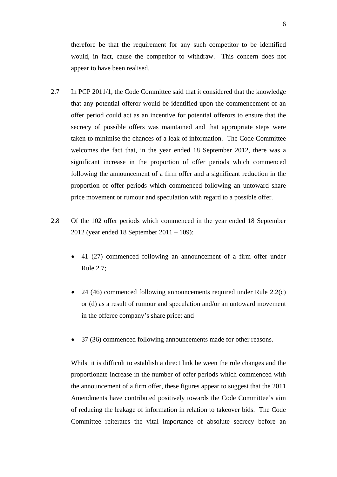therefore be that the requirement for any such competitor to be identified would, in fact, cause the competitor to withdraw. This concern does not appear to have been realised.

- 2.7 In PCP 2011/1, the Code Committee said that it considered that the knowledge that any potential offeror would be identified upon the commencement of an offer period could act as an incentive for potential offerors to ensure that the secrecy of possible offers was maintained and that appropriate steps were taken to minimise the chances of a leak of information. The Code Committee welcomes the fact that, in the year ended 18 September 2012, there was a significant increase in the proportion of offer periods which commenced following the announcement of a firm offer and a significant reduction in the proportion of offer periods which commenced following an untoward share price movement or rumour and speculation with regard to a possible offer.
- 2.8 Of the 102 offer periods which commenced in the year ended 18 September 2012 (year ended 18 September 2011 – 109):
	- 41 (27) commenced following an announcement of a firm offer under Rule 2.7;
	- 24 (46) commenced following announcements required under Rule 2.2(c) or (d) as a result of rumour and speculation and/or an untoward movement in the offeree company's share price; and
	- 37 (36) commenced following announcements made for other reasons.

Whilst it is difficult to establish a direct link between the rule changes and the proportionate increase in the number of offer periods which commenced with the announcement of a firm offer, these figures appear to suggest that the 2011 Amendments have contributed positively towards the Code Committee's aim of reducing the leakage of information in relation to takeover bids. The Code Committee reiterates the vital importance of absolute secrecy before an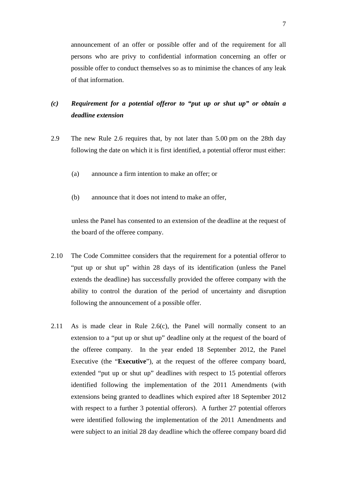announcement of an offer or possible offer and of the requirement for all persons who are privy to confidential information concerning an offer or possible offer to conduct themselves so as to minimise the chances of any leak of that information.

# *(c) Requirement for a potential offeror to "put up or shut up" or obtain a deadline extension*

- 2.9 The new Rule 2.6 requires that, by not later than 5.00 pm on the 28th day following the date on which it is first identified, a potential offeror must either:
	- (a) announce a firm intention to make an offer; or
	- (b) announce that it does not intend to make an offer,

unless the Panel has consented to an extension of the deadline at the request of the board of the offeree company.

- 2.10 The Code Committee considers that the requirement for a potential offeror to "put up or shut up" within 28 days of its identification (unless the Panel extends the deadline) has successfully provided the offeree company with the ability to control the duration of the period of uncertainty and disruption following the announcement of a possible offer.
- 2.11 As is made clear in Rule 2.6(c), the Panel will normally consent to an extension to a "put up or shut up" deadline only at the request of the board of the offeree company. In the year ended 18 September 2012, the Panel Executive (the "**Executive**"), at the request of the offeree company board, extended "put up or shut up" deadlines with respect to 15 potential offerors identified following the implementation of the 2011 Amendments (with extensions being granted to deadlines which expired after 18 September 2012 with respect to a further 3 potential offerors). A further 27 potential offerors were identified following the implementation of the 2011 Amendments and were subject to an initial 28 day deadline which the offeree company board did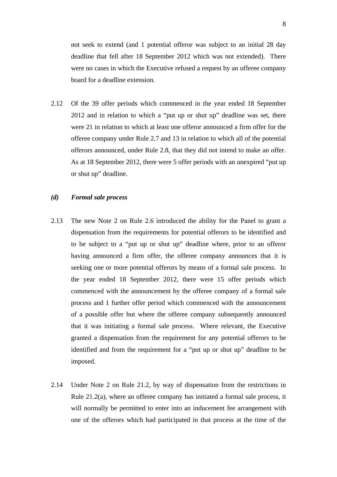not seek to extend (and 1 potential offeror was subject to an initial 28 day deadline that fell after 18 September 2012 which was not extended). There were no cases in which the Executive refused a request by an offeree company board for a deadline extension.

2.12 Of the 39 offer periods which commenced in the year ended 18 September 2012 and in relation to which a "put up or shut up" deadline was set, there were 21 in relation to which at least one offeror announced a firm offer for the offeree company under Rule 2.7 and 13 in relation to which all of the potential offerors announced, under Rule 2.8, that they did not intend to make an offer. As at 18 September 2012, there were 5 offer periods with an unexpired "put up or shut up" deadline.

#### *(d) Formal sale process*

- 2.13 The new Note 2 on Rule 2.6 introduced the ability for the Panel to grant a dispensation from the requirements for potential offerors to be identified and to be subject to a "put up or shut up" deadline where, prior to an offeror having announced a firm offer, the offeree company announces that it is seeking one or more potential offerors by means of a formal sale process. In the year ended 18 September 2012, there were 15 offer periods which commenced with the announcement by the offeree company of a formal sale process and 1 further offer period which commenced with the announcement of a possible offer but where the offeree company subsequently announced that it was initiating a formal sale process. Where relevant, the Executive granted a dispensation from the requirement for any potential offerors to be identified and from the requirement for a "put up or shut up" deadline to be imposed.
- 2.14 Under Note 2 on Rule 21.2, by way of dispensation from the restrictions in Rule 21.2(a), where an offeree company has initiated a formal sale process, it will normally be permitted to enter into an inducement fee arrangement with one of the offerors which had participated in that process at the time of the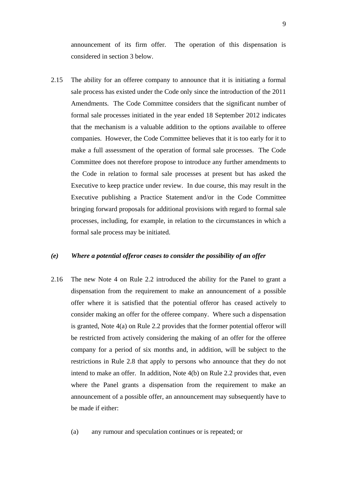announcement of its firm offer. The operation of this dispensation is considered in section 3 below.

2.15 The ability for an offeree company to announce that it is initiating a formal sale process has existed under the Code only since the introduction of the 2011 Amendments. The Code Committee considers that the significant number of formal sale processes initiated in the year ended 18 September 2012 indicates that the mechanism is a valuable addition to the options available to offeree companies. However, the Code Committee believes that it is too early for it to make a full assessment of the operation of formal sale processes. The Code Committee does not therefore propose to introduce any further amendments to the Code in relation to formal sale processes at present but has asked the Executive to keep practice under review. In due course, this may result in the Executive publishing a Practice Statement and/or in the Code Committee bringing forward proposals for additional provisions with regard to formal sale processes, including, for example, in relation to the circumstances in which a formal sale process may be initiated.

#### *(e) Where a potential offeror ceases to consider the possibility of an offer*

2.16 The new Note 4 on Rule 2.2 introduced the ability for the Panel to grant a dispensation from the requirement to make an announcement of a possible offer where it is satisfied that the potential offeror has ceased actively to consider making an offer for the offeree company. Where such a dispensation is granted, Note 4(a) on Rule 2.2 provides that the former potential offeror will be restricted from actively considering the making of an offer for the offeree company for a period of six months and, in addition, will be subject to the restrictions in Rule 2.8 that apply to persons who announce that they do not intend to make an offer. In addition, Note 4(b) on Rule 2.2 provides that, even where the Panel grants a dispensation from the requirement to make an announcement of a possible offer, an announcement may subsequently have to be made if either:

(a) any rumour and speculation continues or is repeated; or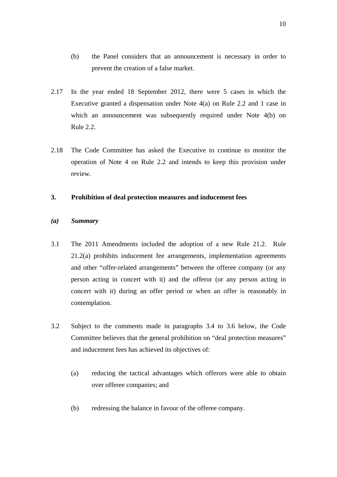- (b) the Panel considers that an announcement is necessary in order to prevent the creation of a false market.
- 2.17 In the year ended 18 September 2012, there were 5 cases in which the Executive granted a dispensation under Note 4(a) on Rule 2.2 and 1 case in which an announcement was subsequently required under Note 4(b) on Rule 2.2.
- 2.18 The Code Committee has asked the Executive to continue to monitor the operation of Note 4 on Rule 2.2 and intends to keep this provision under review.

# **3. Prohibition of deal protection measures and inducement fees**

- *(a) Summary*
- 3.1 The 2011 Amendments included the adoption of a new Rule 21.2. Rule 21.2(a) prohibits inducement fee arrangements, implementation agreements and other "offer-related arrangements" between the offeree company (or any person acting in concert with it) and the offeror (or any person acting in concert with it) during an offer period or when an offer is reasonably in contemplation.
- 3.2 Subject to the comments made in paragraphs 3.4 to 3.6 below, the Code Committee believes that the general prohibition on "deal protection measures" and inducement fees has achieved its objectives of:
	- (a) reducing the tactical advantages which offerors were able to obtain over offeree companies; and
	- (b) redressing the balance in favour of the offeree company.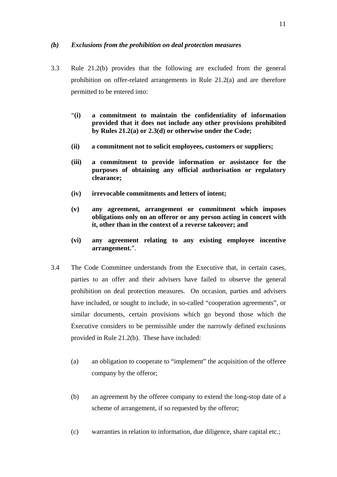## *(b) Exclusions from the prohibition on deal protection measures*

- 3.3 Rule 21.2(b) provides that the following are excluded from the general prohibition on offer-related arrangements in Rule 21.2(a) and are therefore permitted to be entered into:
	- "**(i) a commitment to maintain the confidentiality of information provided that it does not include any other provisions prohibited by Rules 21.2(a) or 2.3(d) or otherwise under the Code;**
	- **(ii) a commitment not to solicit employees, customers or suppliers;**
	- **(iii) a commitment to provide information or assistance for the purposes of obtaining any official authorisation or regulatory clearance;**
	- **(iv) irrevocable commitments and letters of intent;**
	- **(v) any agreement, arrangement or commitment which imposes obligations only on an offeror or any person acting in concert with it, other than in the context of a reverse takeover; and**
	- **(vi) any agreement relating to any existing employee incentive arrangement.**".
- 3.4 The Code Committee understands from the Executive that, in certain cases, parties to an offer and their advisers have failed to observe the general prohibition on deal protection measures. On occasion, parties and advisers have included, or sought to include, in so-called "cooperation agreements", or similar documents, certain provisions which go beyond those which the Executive considers to be permissible under the narrowly defined exclusions provided in Rule 21.2(b). These have included:
	- (a) an obligation to cooperate to "implement" the acquisition of the offeree company by the offeror;
	- (b) an agreement by the offeree company to extend the long-stop date of a scheme of arrangement, if so requested by the offeror;
	- (c) warranties in relation to information, due diligence, share capital etc.;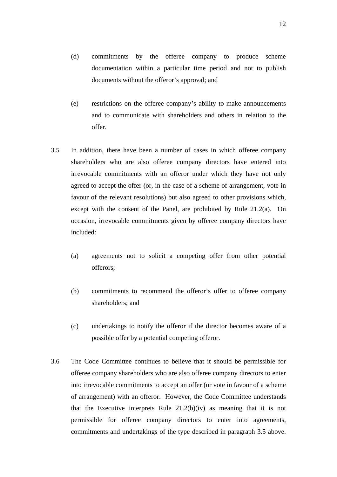- (d) commitments by the offeree company to produce scheme documentation within a particular time period and not to publish documents without the offeror's approval; and
- (e) restrictions on the offeree company's ability to make announcements and to communicate with shareholders and others in relation to the offer.
- 3.5 In addition, there have been a number of cases in which offeree company shareholders who are also offeree company directors have entered into irrevocable commitments with an offeror under which they have not only agreed to accept the offer (or, in the case of a scheme of arrangement, vote in favour of the relevant resolutions) but also agreed to other provisions which, except with the consent of the Panel, are prohibited by Rule 21.2(a). On occasion, irrevocable commitments given by offeree company directors have included:
	- (a) agreements not to solicit a competing offer from other potential offerors;
	- (b) commitments to recommend the offeror's offer to offeree company shareholders; and
	- (c) undertakings to notify the offeror if the director becomes aware of a possible offer by a potential competing offeror.
- 3.6 The Code Committee continues to believe that it should be permissible for offeree company shareholders who are also offeree company directors to enter into irrevocable commitments to accept an offer (or vote in favour of a scheme of arrangement) with an offeror. However, the Code Committee understands that the Executive interprets Rule  $21.2(b)(iv)$  as meaning that it is not permissible for offeree company directors to enter into agreements, commitments and undertakings of the type described in paragraph 3.5 above.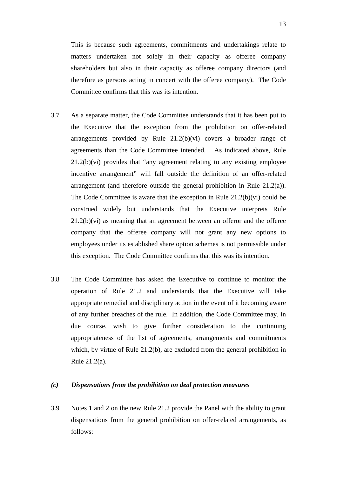This is because such agreements, commitments and undertakings relate to matters undertaken not solely in their capacity as offeree company shareholders but also in their capacity as offeree company directors (and therefore as persons acting in concert with the offeree company). The Code Committee confirms that this was its intention.

- 3.7 As a separate matter, the Code Committee understands that it has been put to the Executive that the exception from the prohibition on offer-related arrangements provided by Rule 21.2(b)(vi) covers a broader range of agreements than the Code Committee intended. As indicated above, Rule 21.2(b)(vi) provides that "any agreement relating to any existing employee incentive arrangement" will fall outside the definition of an offer-related arrangement (and therefore outside the general prohibition in Rule 21.2(a)). The Code Committee is aware that the exception in Rule  $21.2(b)(vi)$  could be construed widely but understands that the Executive interprets Rule 21.2(b)(vi) as meaning that an agreement between an offeror and the offeree company that the offeree company will not grant any new options to employees under its established share option schemes is not permissible under this exception. The Code Committee confirms that this was its intention.
- 3.8 The Code Committee has asked the Executive to continue to monitor the operation of Rule 21.2 and understands that the Executive will take appropriate remedial and disciplinary action in the event of it becoming aware of any further breaches of the rule. In addition, the Code Committee may, in due course, wish to give further consideration to the continuing appropriateness of the list of agreements, arrangements and commitments which, by virtue of Rule 21.2(b), are excluded from the general prohibition in Rule 21.2(a).

#### *(c) Dispensations from the prohibition on deal protection measures*

3.9 Notes 1 and 2 on the new Rule 21.2 provide the Panel with the ability to grant dispensations from the general prohibition on offer-related arrangements, as follows: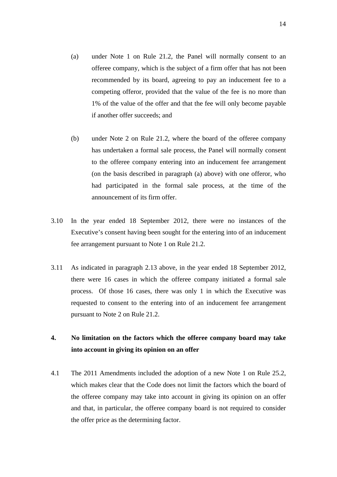- (a) under Note 1 on Rule 21.2, the Panel will normally consent to an offeree company, which is the subject of a firm offer that has not been recommended by its board, agreeing to pay an inducement fee to a competing offeror, provided that the value of the fee is no more than 1% of the value of the offer and that the fee will only become payable if another offer succeeds; and
- (b) under Note 2 on Rule 21.2, where the board of the offeree company has undertaken a formal sale process, the Panel will normally consent to the offeree company entering into an inducement fee arrangement (on the basis described in paragraph (a) above) with one offeror, who had participated in the formal sale process, at the time of the announcement of its firm offer.
- 3.10 In the year ended 18 September 2012, there were no instances of the Executive's consent having been sought for the entering into of an inducement fee arrangement pursuant to Note 1 on Rule 21.2.
- 3.11 As indicated in paragraph 2.13 above, in the year ended 18 September 2012, there were 16 cases in which the offeree company initiated a formal sale process. Of those 16 cases, there was only 1 in which the Executive was requested to consent to the entering into of an inducement fee arrangement pursuant to Note 2 on Rule 21.2.

# **4. No limitation on the factors which the offeree company board may take into account in giving its opinion on an offer**

4.1 The 2011 Amendments included the adoption of a new Note 1 on Rule 25.2, which makes clear that the Code does not limit the factors which the board of the offeree company may take into account in giving its opinion on an offer and that, in particular, the offeree company board is not required to consider the offer price as the determining factor.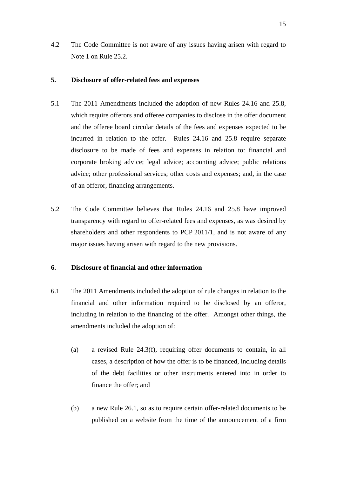4.2 The Code Committee is not aware of any issues having arisen with regard to Note 1 on Rule 25.2.

## **5. Disclosure of offer-related fees and expenses**

- 5.1 The 2011 Amendments included the adoption of new Rules 24.16 and 25.8, which require offerors and offeree companies to disclose in the offer document and the offeree board circular details of the fees and expenses expected to be incurred in relation to the offer. Rules 24.16 and 25.8 require separate disclosure to be made of fees and expenses in relation to: financial and corporate broking advice; legal advice; accounting advice; public relations advice; other professional services; other costs and expenses; and, in the case of an offeror, financing arrangements.
- 5.2 The Code Committee believes that Rules 24.16 and 25.8 have improved transparency with regard to offer-related fees and expenses, as was desired by shareholders and other respondents to PCP 2011/1, and is not aware of any major issues having arisen with regard to the new provisions.

### **6. Disclosure of financial and other information**

- 6.1 The 2011 Amendments included the adoption of rule changes in relation to the financial and other information required to be disclosed by an offeror, including in relation to the financing of the offer. Amongst other things, the amendments included the adoption of:
	- (a) a revised Rule 24.3(f), requiring offer documents to contain, in all cases, a description of how the offer is to be financed, including details of the debt facilities or other instruments entered into in order to finance the offer; and
	- (b) a new Rule 26.1, so as to require certain offer-related documents to be published on a website from the time of the announcement of a firm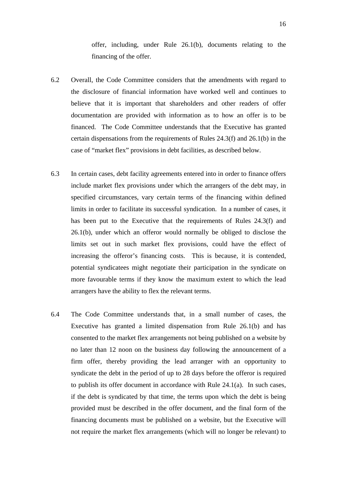offer, including, under Rule 26.1(b), documents relating to the financing of the offer.

- 6.2 Overall, the Code Committee considers that the amendments with regard to the disclosure of financial information have worked well and continues to believe that it is important that shareholders and other readers of offer documentation are provided with information as to how an offer is to be financed. The Code Committee understands that the Executive has granted certain dispensations from the requirements of Rules 24.3(f) and 26.1(b) in the case of "market flex" provisions in debt facilities, as described below.
- 6.3 In certain cases, debt facility agreements entered into in order to finance offers include market flex provisions under which the arrangers of the debt may, in specified circumstances, vary certain terms of the financing within defined limits in order to facilitate its successful syndication. In a number of cases, it has been put to the Executive that the requirements of Rules 24.3(f) and 26.1(b), under which an offeror would normally be obliged to disclose the limits set out in such market flex provisions, could have the effect of increasing the offeror's financing costs. This is because, it is contended, potential syndicatees might negotiate their participation in the syndicate on more favourable terms if they know the maximum extent to which the lead arrangers have the ability to flex the relevant terms.
- 6.4 The Code Committee understands that, in a small number of cases, the Executive has granted a limited dispensation from Rule 26.1(b) and has consented to the market flex arrangements not being published on a website by no later than 12 noon on the business day following the announcement of a firm offer, thereby providing the lead arranger with an opportunity to syndicate the debt in the period of up to 28 days before the offeror is required to publish its offer document in accordance with Rule 24.1(a). In such cases, if the debt is syndicated by that time, the terms upon which the debt is being provided must be described in the offer document, and the final form of the financing documents must be published on a website, but the Executive will not require the market flex arrangements (which will no longer be relevant) to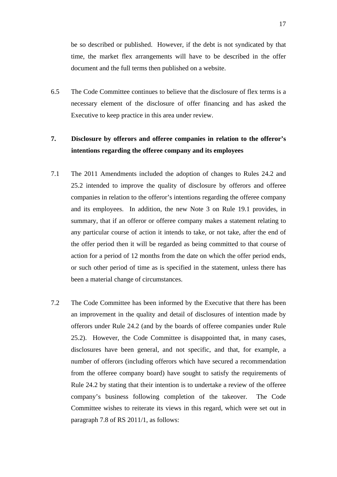be so described or published. However, if the debt is not syndicated by that time, the market flex arrangements will have to be described in the offer document and the full terms then published on a website.

6.5 The Code Committee continues to believe that the disclosure of flex terms is a necessary element of the disclosure of offer financing and has asked the Executive to keep practice in this area under review.

# **7. Disclosure by offerors and offeree companies in relation to the offeror's intentions regarding the offeree company and its employees**

- 7.1 The 2011 Amendments included the adoption of changes to Rules 24.2 and 25.2 intended to improve the quality of disclosure by offerors and offeree companies in relation to the offeror's intentions regarding the offeree company and its employees. In addition, the new Note 3 on Rule 19.1 provides, in summary, that if an offeror or offeree company makes a statement relating to any particular course of action it intends to take, or not take, after the end of the offer period then it will be regarded as being committed to that course of action for a period of 12 months from the date on which the offer period ends, or such other period of time as is specified in the statement, unless there has been a material change of circumstances.
- 7.2 The Code Committee has been informed by the Executive that there has been an improvement in the quality and detail of disclosures of intention made by offerors under Rule 24.2 (and by the boards of offeree companies under Rule 25.2). However, the Code Committee is disappointed that, in many cases, disclosures have been general, and not specific, and that, for example, a number of offerors (including offerors which have secured a recommendation from the offeree company board) have sought to satisfy the requirements of Rule 24.2 by stating that their intention is to undertake a review of the offeree company's business following completion of the takeover. The Code Committee wishes to reiterate its views in this regard, which were set out in paragraph 7.8 of RS 2011/1, as follows: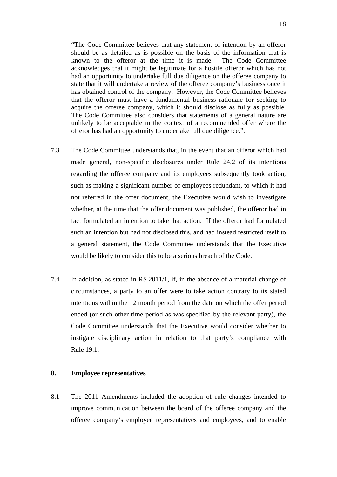"The Code Committee believes that any statement of intention by an offeror should be as detailed as is possible on the basis of the information that is known to the offeror at the time it is made. The Code Committee acknowledges that it might be legitimate for a hostile offeror which has not had an opportunity to undertake full due diligence on the offeree company to state that it will undertake a review of the offeree company's business once it has obtained control of the company. However, the Code Committee believes that the offeror must have a fundamental business rationale for seeking to acquire the offeree company, which it should disclose as fully as possible. The Code Committee also considers that statements of a general nature are unlikely to be acceptable in the context of a recommended offer where the offeror has had an opportunity to undertake full due diligence.".

- 7.3 The Code Committee understands that, in the event that an offeror which had made general, non-specific disclosures under Rule 24.2 of its intentions regarding the offeree company and its employees subsequently took action, such as making a significant number of employees redundant, to which it had not referred in the offer document, the Executive would wish to investigate whether, at the time that the offer document was published, the offeror had in fact formulated an intention to take that action. If the offeror had formulated such an intention but had not disclosed this, and had instead restricted itself to a general statement, the Code Committee understands that the Executive would be likely to consider this to be a serious breach of the Code.
- 7.4 In addition, as stated in RS 2011/1, if, in the absence of a material change of circumstances, a party to an offer were to take action contrary to its stated intentions within the 12 month period from the date on which the offer period ended (or such other time period as was specified by the relevant party), the Code Committee understands that the Executive would consider whether to instigate disciplinary action in relation to that party's compliance with Rule 19.1.

#### **8. Employee representatives**

8.1 The 2011 Amendments included the adoption of rule changes intended to improve communication between the board of the offeree company and the offeree company's employee representatives and employees, and to enable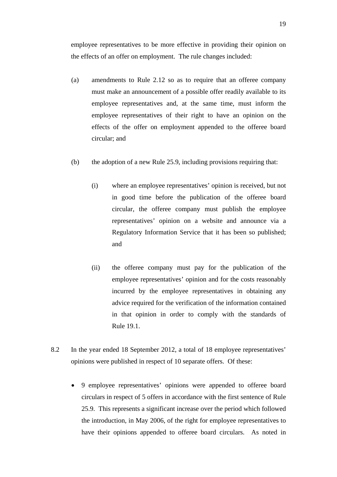employee representatives to be more effective in providing their opinion on the effects of an offer on employment. The rule changes included:

- (a) amendments to Rule 2.12 so as to require that an offeree company must make an announcement of a possible offer readily available to its employee representatives and, at the same time, must inform the employee representatives of their right to have an opinion on the effects of the offer on employment appended to the offeree board circular; and
- (b) the adoption of a new Rule 25.9, including provisions requiring that:
	- (i) where an employee representatives' opinion is received, but not in good time before the publication of the offeree board circular, the offeree company must publish the employee representatives' opinion on a website and announce via a Regulatory Information Service that it has been so published; and
	- (ii) the offeree company must pay for the publication of the employee representatives' opinion and for the costs reasonably incurred by the employee representatives in obtaining any advice required for the verification of the information contained in that opinion in order to comply with the standards of Rule 19.1.
- 8.2 In the year ended 18 September 2012, a total of 18 employee representatives' opinions were published in respect of 10 separate offers. Of these:
	- 9 employee representatives' opinions were appended to offeree board circulars in respect of 5 offers in accordance with the first sentence of Rule 25.9. This represents a significant increase over the period which followed the introduction, in May 2006, of the right for employee representatives to have their opinions appended to offeree board circulars. As noted in